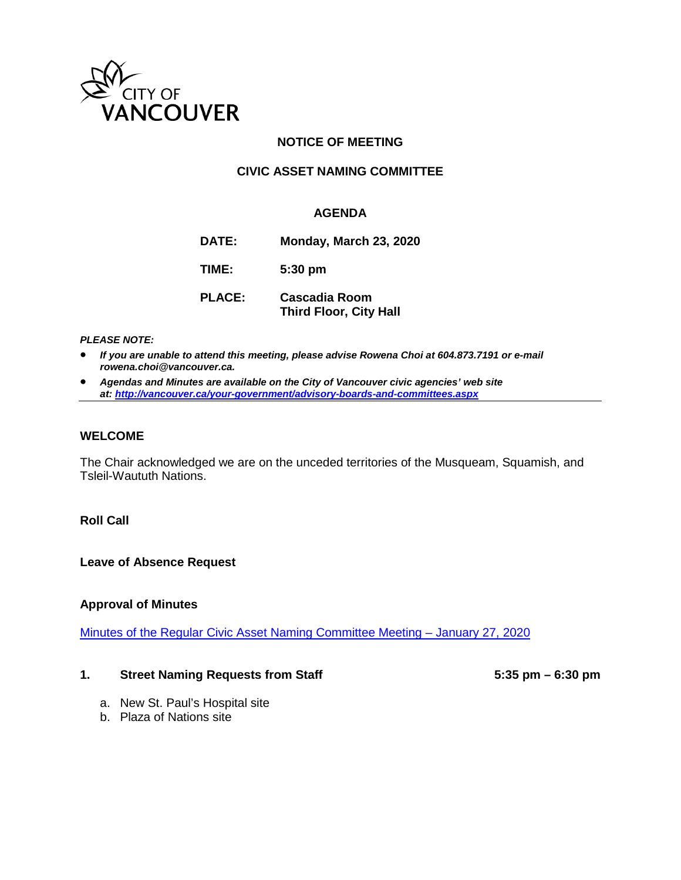

# **NOTICE OF MEETING**

# **CIVIC ASSET NAMING COMMITTEE**

### **AGENDA**

| DATE:         | Monday, March 23, 2020                                |
|---------------|-------------------------------------------------------|
| TIME:         | $5:30 \text{ pm}$                                     |
| <b>PLACE:</b> | <b>Cascadia Room</b><br><b>Third Floor, City Hall</b> |

#### *PLEASE NOTE:*

- *If you are unable to attend this meeting, please advise Rowena Choi at 604.873.7191 or e-mail rowena.choi@vancouver.ca.*
- *Agendas and Minutes are available on the City of Vancouver civic agencies' web site at[: http://vancouver.ca/your-government/advisory-boards-and-committees.aspx](http://vancouver.ca/your-government/advisory-boards-and-committees.aspx)*

#### **WELCOME**

The Chair acknowledged we are on the unceded territories of the Musqueam, Squamish, and Tsleil-Waututh Nations.

### **Roll Call**

**Leave of Absence Request**

### **Approval of Minutes**

[Minutes of the Regular Civic Asset Naming Committee Meeting – January 27, 2020](https://vancouver.ca/docs/council/cian20200127min.pdf)

#### **1. Street Naming Requests from Staff 5:35 pm – 6:30 pm**

- a. New St. Paul's Hospital site
- b. Plaza of Nations site